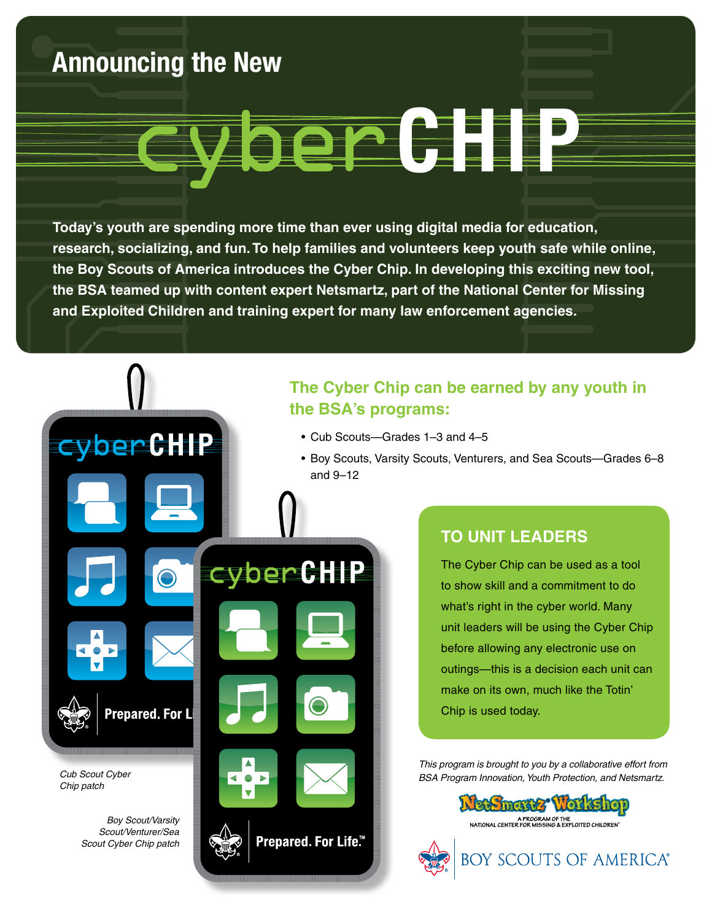### **Announcing the New**

*Cub Scout Cyber Chip patch*

> *Boy Scout/Varsity Scout/Venturer/Sea Scout Cyber Chip patch*

**Prepared. For L** 

cyberCHIP

# ber GH

**Today's youth are spending more time than ever using digital media for education, research, socializing, and fun. To help families and volunteers keep youth safe while online, the Boy Scouts of America introduces the Cyber Chip. In developing this exciting new tool, the BSA teamed up with content expert Netsmartz, part of the National Center for Missing and Exploited Children and training expert for many law enforcement agencies.**

cyber CHIP

Prepared. For Life<sup>™</sup>

#### **The Cyber Chip can be earned by any youth in the BSA's programs:**

- Cub Scouts—Grades 1-3 and 4-5
- Boy Scouts, Varsity Scouts, Venturers, and Sea Scouts-Grades 6-8 and 9–12

#### **To Unit Leaders**

The Cyber Chip can be used as a tool to show skill and a commitment to do what's right in the cyber world. Many unit leaders will be using the Cyber Chip before allowing any electronic use on outings—this is a decision each unit can make on its own, much like the Totin' Chip is used today.

*This program is brought to you by a collaborative effort from BSA Program Innovation, Youth Protection, and Netsmartz.*